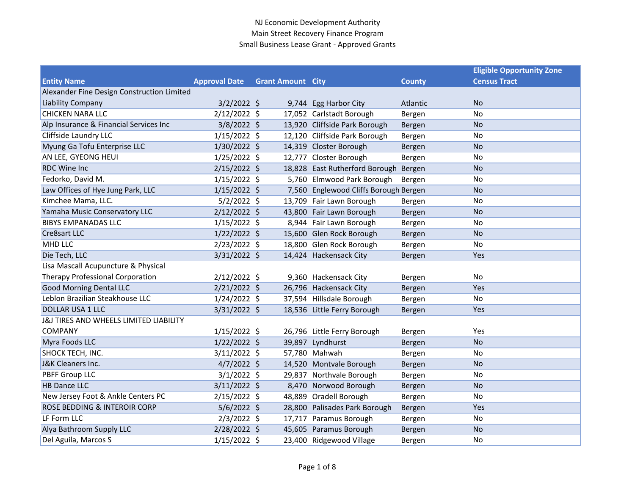|                                            |                      |                          |                                       |               | <b>Eligible Opportunity Zone</b> |
|--------------------------------------------|----------------------|--------------------------|---------------------------------------|---------------|----------------------------------|
| <b>Entity Name</b>                         | <b>Approval Date</b> | <b>Grant Amount City</b> |                                       | <b>County</b> | <b>Census Tract</b>              |
| Alexander Fine Design Construction Limited |                      |                          |                                       |               |                                  |
| <b>Liability Company</b>                   | $3/2/2022$ \$        |                          | 9,744 Egg Harbor City                 | Atlantic      | <b>No</b>                        |
| <b>CHICKEN NARA LLC</b>                    | $2/12/2022$ \$       |                          | 17,052 Carlstadt Borough              | Bergen        | No                               |
| Alp Insurance & Financial Services Inc     | $3/8/2022$ \$        |                          | 13,920 Cliffside Park Borough         | Bergen        | <b>No</b>                        |
| Cliffside Laundry LLC                      | $1/15/2022$ \$       |                          | 12,120 Cliffside Park Borough         | Bergen        | No                               |
| Myung Ga Tofu Enterprise LLC               | 1/30/2022 \$         |                          | 14,319 Closter Borough                | Bergen        | <b>No</b>                        |
| AN LEE, GYEONG HEUI                        | $1/25/2022$ \$       |                          | 12,777 Closter Borough                | Bergen        | No                               |
| <b>RDC Wine Inc</b>                        | $2/15/2022$ \$       |                          | 18,828 East Rutherford Borough Bergen |               | <b>No</b>                        |
| Fedorko, David M.                          | $1/15/2022$ \$       |                          | 5,760 Elmwood Park Borough            | Bergen        | No                               |
| Law Offices of Hye Jung Park, LLC          | $1/15/2022$ \$       |                          | 7,560 Englewood Cliffs Borough Bergen |               | <b>No</b>                        |
| Kimchee Mama, LLC.                         | $5/2/2022$ \$        |                          | 13,709 Fair Lawn Borough              | Bergen        | No                               |
| Yamaha Music Conservatory LLC              | $2/12/2022$ \$       |                          | 43,800 Fair Lawn Borough              | Bergen        | <b>No</b>                        |
| <b>BIBYS EMPANADAS LLC</b>                 | $1/15/2022$ \$       |                          | 8,944 Fair Lawn Borough               | Bergen        | No                               |
| Cre8sart LLC                               | $1/22/2022$ \$       |                          | 15,600 Glen Rock Borough              | Bergen        | <b>No</b>                        |
| <b>MHD LLC</b>                             | $2/23/2022$ \$       |                          | 18,800 Glen Rock Borough              | Bergen        | No                               |
| Die Tech, LLC                              | $3/31/2022$ \$       |                          | 14,424 Hackensack City                | Bergen        | Yes                              |
| Lisa Mascall Acupuncture & Physical        |                      |                          |                                       |               |                                  |
| <b>Therapy Professional Corporation</b>    | 2/12/2022 \$         |                          | 9,360 Hackensack City                 | Bergen        | No                               |
| <b>Good Morning Dental LLC</b>             | $2/21/2022$ \$       |                          | 26,796 Hackensack City                | Bergen        | Yes                              |
| Leblon Brazilian Steakhouse LLC            | $1/24/2022$ \$       |                          | 37,594 Hillsdale Borough              | Bergen        | No                               |
| <b>DOLLAR USA 1 LLC</b>                    | 3/31/2022 \$         |                          | 18,536 Little Ferry Borough           | Bergen        | Yes                              |
| J&J TIRES AND WHEELS LIMITED LIABILITY     |                      |                          |                                       |               |                                  |
| <b>COMPANY</b>                             | $1/15/2022$ \$       |                          | 26,796 Little Ferry Borough           | Bergen        | Yes                              |
| Myra Foods LLC                             | $1/22/2022$ \$       |                          | 39,897 Lyndhurst                      | Bergen        | <b>No</b>                        |
| SHOCK TECH, INC.                           | $3/11/2022$ \$       |                          | 57,780 Mahwah                         | Bergen        | No                               |
| J&K Cleaners Inc.                          | $4/7/2022$ \$        |                          | 14,520 Montvale Borough               | Bergen        | <b>No</b>                        |
| PBFF Group LLC                             | $3/1/2022$ \$        |                          | 29,837 Northvale Borough              | Bergen        | No                               |
| <b>HB Dance LLC</b>                        | $3/11/2022$ \$       |                          | 8,470 Norwood Borough                 | Bergen        | <b>No</b>                        |
| New Jersey Foot & Ankle Centers PC         | $2/15/2022$ \$       |                          | 48,889 Oradell Borough                | Bergen        | No                               |
| ROSE BEDDING & INTEROIR CORP               | 5/6/2022 \$          |                          | 28,800 Palisades Park Borough         | Bergen        | Yes                              |
| LF Form LLC                                | $2/3/2022$ \$        |                          | 17,717 Paramus Borough                | Bergen        | No                               |
| Alya Bathroom Supply LLC                   | 2/28/2022 \$         |                          | 45,605 Paramus Borough                | Bergen        | <b>No</b>                        |
| Del Aguila, Marcos S                       | $1/15/2022$ \$       |                          | 23,400 Ridgewood Village              | Bergen        | No                               |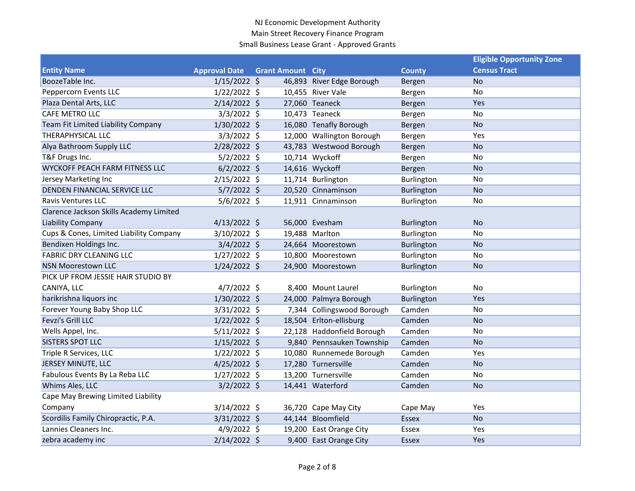|                                         |                      |                          |                            |                   | <b>Eligible Opportunity Zone</b> |  |
|-----------------------------------------|----------------------|--------------------------|----------------------------|-------------------|----------------------------------|--|
| <b>Entity Name</b>                      | <b>Approval Date</b> | <b>Grant Amount City</b> |                            | <b>County</b>     | <b>Census Tract</b>              |  |
| BoozeTable Inc.                         | $1/15/2022$ \$       |                          | 46,893 River Edge Borough  | Bergen            | <b>No</b>                        |  |
| Peppercorn Events LLC                   | $1/22/2022$ \$       |                          | 10,455 River Vale          | Bergen            | No                               |  |
| Plaza Dental Arts, LLC                  | $2/14/2022$ \$       |                          | 27,060 Teaneck             | Bergen            | Yes                              |  |
| CAFE METRO LLC                          | $3/3/2022$ \$        |                          | 10,473 Teaneck             | Bergen            | No                               |  |
| Team Fit Limited Liability Company      | 1/30/2022 \$         |                          | 16,080 Tenafly Borough     | Bergen            | <b>No</b>                        |  |
| THERAPHYSICAL LLC                       | $3/3/2022$ \$        |                          | 12,000 Wallington Borough  | Bergen            | Yes                              |  |
| Alya Bathroom Supply LLC                | $2/28/2022$ \$       |                          | 43,783 Westwood Borough    | Bergen            | <b>No</b>                        |  |
| T&F Drugs Inc.                          | $5/2/2022$ \$        |                          | 10,714 Wyckoff             | Bergen            | No                               |  |
| <b>WYCKOFF PEACH FARM FITNESS LLC</b>   | $6/2/2022$ \$        |                          | 14,616 Wyckoff             | Bergen            | <b>No</b>                        |  |
| Jersey Marketing Inc                    | 2/15/2022 \$         |                          | 11,714 Burlington          | Burlington        | No                               |  |
| DENDEN FINANCIAL SERVICE LLC            | $5/7/2022$ \$        |                          | 20,520 Cinnaminson         | Burlington        | <b>No</b>                        |  |
| <b>Ravis Ventures LLC</b>               | $5/6/2022$ \$        |                          | 11,911 Cinnaminson         | Burlington        | No                               |  |
| Clarence Jackson Skills Academy Limited |                      |                          |                            |                   |                                  |  |
| <b>Liability Company</b>                | $4/13/2022$ \$       |                          | 56,000 Evesham             | Burlington        | No                               |  |
| Cups & Cones, Limited Liability Company | $3/10/2022$ \$       |                          | 19,488 Marlton             | Burlington        | No                               |  |
| Bendixen Holdings Inc.                  | $3/4/2022$ \$        |                          | 24,664 Moorestown          | <b>Burlington</b> | <b>No</b>                        |  |
| <b>FABRIC DRY CLEANING LLC</b>          | $1/27/2022$ \$       |                          | 10,800 Moorestown          | Burlington        | No                               |  |
| <b>NSN Moorestown LLC</b>               | $1/24/2022$ \$       |                          | 24,900 Moorestown          | Burlington        | <b>No</b>                        |  |
| PICK UP FROM JESSIE HAIR STUDIO BY      |                      |                          |                            |                   |                                  |  |
| CANIYA, LLC                             | $4/7/2022$ \$        |                          | 8,400 Mount Laurel         | Burlington        | No                               |  |
| harikrishna liquors inc                 | 1/30/2022 \$         |                          | 24,000 Palmyra Borough     | <b>Burlington</b> | Yes                              |  |
| Forever Young Baby Shop LLC             | 3/31/2022 \$         |                          | 7,344 Collingswood Borough | Camden            | No                               |  |
| <b>Fevzi's Grill LLC</b>                | $1/22/2022$ \$       |                          | 18,504 Erlton-ellisburg    | Camden            | <b>No</b>                        |  |
| Wells Appel, Inc.                       | $5/11/2022$ \$       |                          | 22,128 Haddonfield Borough | Camden            | No                               |  |
| <b>SISTERS SPOT LLC</b>                 | $1/15/2022$ \$       |                          | 9,840 Pennsauken Township  | Camden            | <b>No</b>                        |  |
| Triple R Services, LLC                  | $1/22/2022$ \$       |                          | 10,080 Runnemede Borough   | Camden            | Yes                              |  |
| JERSEY MINUTE, LLC                      | $4/25/2022$ \$       |                          | 17,280 Turnersville        | Camden            | <b>No</b>                        |  |
| Fabulous Events By La Reba LLC          | $1/27/2022$ \$       |                          | 13,200 Turnersville        | Camden            | No                               |  |
| Whims Ales, LLC                         | $3/2/2022$ \$        |                          | 14,441 Waterford           | Camden            | <b>No</b>                        |  |
| Cape May Brewing Limited Liability      |                      |                          |                            |                   |                                  |  |
| Company                                 | 3/14/2022 \$         |                          | 36,720 Cape May City       | Cape May          | Yes                              |  |
| Scordilis Family Chiropractic, P.A.     | 3/31/2022 \$         |                          | 44,144 Bloomfield          | <b>Essex</b>      | <b>No</b>                        |  |
| Lannies Cleaners Inc.                   | $4/9/2022$ \$        |                          | 19,200 East Orange City    | Essex             | Yes                              |  |
| zebra academy inc                       | 2/14/2022 \$         |                          | 9,400 East Orange City     | <b>Essex</b>      | Yes                              |  |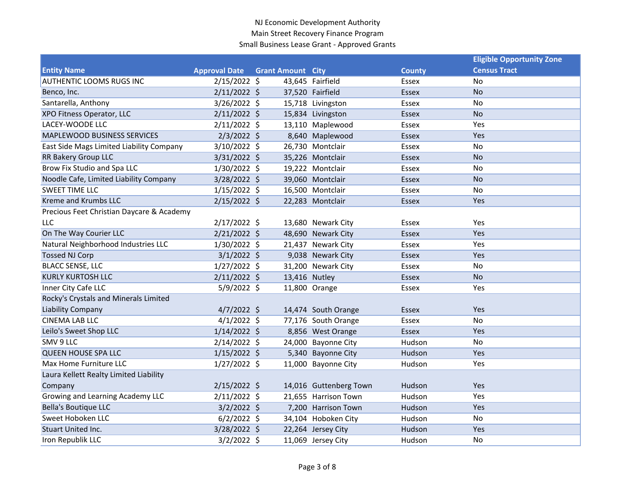|                                           |                      |                          |                        |               | <b>Eligible Opportunity Zone</b> |
|-------------------------------------------|----------------------|--------------------------|------------------------|---------------|----------------------------------|
| <b>Entity Name</b>                        | <b>Approval Date</b> | <b>Grant Amount City</b> |                        | <b>County</b> | <b>Census Tract</b>              |
| <b>AUTHENTIC LOOMS RUGS INC</b>           | $2/15/2022$ \$       |                          | 43,645 Fairfield       | Essex         | No                               |
| Benco, Inc.                               | $2/11/2022$ \$       |                          | 37,520 Fairfield       | <b>Essex</b>  | <b>No</b>                        |
| Santarella, Anthony                       | $3/26/2022$ \$       |                          | 15,718 Livingston      | Essex         | No                               |
| XPO Fitness Operator, LLC                 | $2/11/2022$ \$       |                          | 15,834 Livingston      | <b>Essex</b>  | <b>No</b>                        |
| LACEY-WOODE LLC                           | $2/11/2022$ \$       |                          | 13,110 Maplewood       | Essex         | Yes                              |
| MAPLEWOOD BUSINESS SERVICES               | $2/3/2022$ \$        |                          | 8,640 Maplewood        | <b>Essex</b>  | Yes                              |
| East Side Mags Limited Liability Company  | $3/10/2022$ \$       |                          | 26,730 Montclair       | Essex         | No                               |
| RR Bakery Group LLC                       | 3/31/2022 \$         |                          | 35,226 Montclair       | <b>Essex</b>  | <b>No</b>                        |
| Brow Fix Studio and Spa LLC               | 1/30/2022 \$         |                          | 19,222 Montclair       | Essex         | No                               |
| Noodle Cafe, Limited Liability Company    | 3/28/2022 \$         |                          | 39,060 Montclair       | <b>Essex</b>  | <b>No</b>                        |
| <b>SWEET TIME LLC</b>                     | $1/15/2022$ \$       |                          | 16,500 Montclair       | Essex         | No                               |
| Kreme and Krumbs LLC                      | $2/15/2022$ \$       |                          | 22,283 Montclair       | Essex         | Yes                              |
| Precious Feet Christian Daycare & Academy |                      |                          |                        |               |                                  |
| LLC                                       | 2/17/2022 \$         |                          | 13,680 Newark City     | Essex         | Yes                              |
| On The Way Courier LLC                    | $2/21/2022$ \$       |                          | 48,690 Newark City     | <b>Essex</b>  | Yes                              |
| Natural Neighborhood Industries LLC       | $1/30/2022$ \$       |                          | 21,437 Newark City     | Essex         | Yes                              |
| <b>Tossed NJ Corp</b>                     | $3/1/2022$ \$        |                          | 9,038 Newark City      | Essex         | Yes                              |
| <b>BLACC SENSE, LLC</b>                   | $1/27/2022$ \$       |                          | 31,200 Newark City     | Essex         | No                               |
| <b>KURLY KURTOSH LLC</b>                  | $2/11/2022$ \$       | 13,416 Nutley            |                        | <b>Essex</b>  | <b>No</b>                        |
| Inner City Cafe LLC                       | $5/9/2022$ \$        |                          | 11,800 Orange          | <b>Essex</b>  | Yes                              |
| Rocky's Crystals and Minerals Limited     |                      |                          |                        |               |                                  |
| <b>Liability Company</b>                  | $4/7/2022$ \$        |                          | 14,474 South Orange    | <b>Essex</b>  | Yes                              |
| <b>CINEMA LAB LLC</b>                     | $4/1/2022$ \$        |                          | 77,176 South Orange    | Essex         | No                               |
| Leilo's Sweet Shop LLC                    | $1/14/2022$ \$       |                          | 8,856 West Orange      | Essex         | Yes                              |
| SMV 9 LLC                                 | $2/14/2022$ \$       |                          | 24,000 Bayonne City    | Hudson        | No                               |
| <b>QUEEN HOUSE SPA LLC</b>                | $1/15/2022$ \$       |                          | 5,340 Bayonne City     | Hudson        | Yes                              |
| Max Home Furniture LLC                    | $1/27/2022$ \$       |                          | 11,000 Bayonne City    | Hudson        | Yes                              |
| Laura Kellett Realty Limited Liability    |                      |                          |                        |               |                                  |
| Company                                   | $2/15/2022$ \$       |                          | 14,016 Guttenberg Town | Hudson        | Yes                              |
| Growing and Learning Academy LLC          | $2/11/2022$ \$       |                          | 21,655 Harrison Town   | Hudson        | Yes                              |
| <b>Bella's Boutique LLC</b>               | $3/2/2022$ \$        |                          | 7,200 Harrison Town    | Hudson        | Yes                              |
| Sweet Hoboken LLC                         | $6/2/2022$ \$        |                          | 34,104 Hoboken City    | Hudson        | No                               |
| Stuart United Inc.                        | 3/28/2022 \$         |                          | 22,264 Jersey City     | Hudson        | Yes                              |
| Iron Republik LLC                         | $3/2/2022$ \$        |                          | 11,069 Jersey City     | Hudson        | No                               |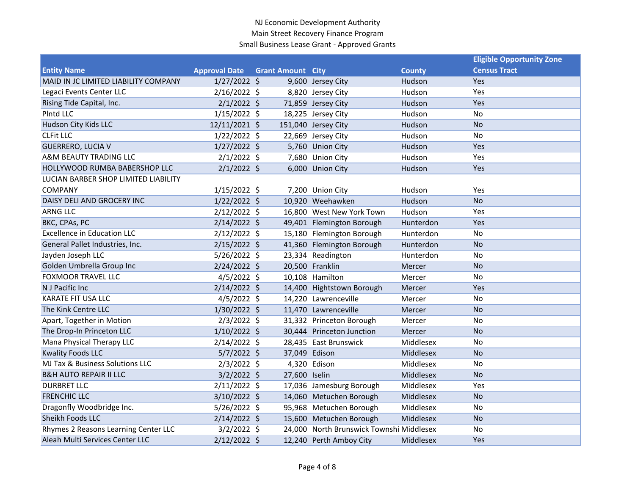|                                      |                      |                          |                                          |               | <b>Eligible Opportunity Zone</b> |
|--------------------------------------|----------------------|--------------------------|------------------------------------------|---------------|----------------------------------|
| <b>Entity Name</b>                   | <b>Approval Date</b> | <b>Grant Amount City</b> |                                          | <b>County</b> | <b>Census Tract</b>              |
| MAID IN JC LIMITED LIABILITY COMPANY | $1/27/2022$ \$       |                          | 9,600 Jersey City                        | Hudson        | <b>Yes</b>                       |
| Legaci Events Center LLC             | $2/16/2022$ \$       |                          | 8,820 Jersey City                        | Hudson        | Yes                              |
| Rising Tide Capital, Inc.            | $2/1/2022$ \$        |                          | 71,859 Jersey City                       | Hudson        | Yes                              |
| PIntd LLC                            | $1/15/2022$ \$       |                          | 18,225 Jersey City                       | Hudson        | No                               |
| Hudson City Kids LLC                 | 12/11/2021 \$        |                          | 151,040 Jersey City                      | Hudson        | <b>No</b>                        |
| <b>CLFit LLC</b>                     | $1/22/2022$ \$       |                          | 22,669 Jersey City                       | Hudson        | No                               |
| <b>GUERRERO, LUCIA V</b>             | $1/27/2022$ \$       |                          | 5,760 Union City                         | Hudson        | Yes                              |
| A&M BEAUTY TRADING LLC               | $2/1/2022$ \$        |                          | 7,680 Union City                         | Hudson        | Yes                              |
| HOLLYWOOD RUMBA BABERSHOP LLC        | $2/1/2022$ \$        |                          | 6,000 Union City                         | Hudson        | Yes                              |
| LUCIAN BARBER SHOP LIMITED LIABILITY |                      |                          |                                          |               |                                  |
| <b>COMPANY</b>                       | $1/15/2022$ \$       |                          | 7,200 Union City                         | Hudson        | Yes                              |
| DAISY DELI AND GROCERY INC           | $1/22/2022$ \$       |                          | 10,920 Weehawken                         | Hudson        | <b>No</b>                        |
| <b>ARNG LLC</b>                      | $2/12/2022$ \$       |                          | 16,800 West New York Town                | Hudson        | Yes                              |
| BKC, CPAs, PC                        | $2/14/2022$ \$       |                          | 49,401 Flemington Borough                | Hunterdon     | Yes                              |
| <b>Excellence in Education LLC</b>   | $2/12/2022$ \$       |                          | 15,180 Flemington Borough                | Hunterdon     | No                               |
| General Pallet Industries, Inc.      | $2/15/2022$ \$       |                          | 41,360 Flemington Borough                | Hunterdon     | <b>No</b>                        |
| Jayden Joseph LLC                    | $5/26/2022$ \$       |                          | 23,334 Readington                        | Hunterdon     | <b>No</b>                        |
| Golden Umbrella Group Inc            | $2/24/2022$ \$       |                          | 20,500 Franklin                          | Mercer        | <b>No</b>                        |
| <b>FOXMOOR TRAVEL LLC</b>            | $4/5/2022$ \$        |                          | 10,108 Hamilton                          | Mercer        | No                               |
| N J Pacific Inc                      | $2/14/2022$ \$       |                          | 14,400 Hightstown Borough                | Mercer        | Yes                              |
| <b>KARATE FIT USA LLC</b>            | $4/5/2022$ \$        |                          | 14,220 Lawrenceville                     | Mercer        | <b>No</b>                        |
| The Kink Centre LLC                  | 1/30/2022 \$         |                          | 11,470 Lawrenceville                     | <b>Mercer</b> | <b>No</b>                        |
| Apart, Together in Motion            | $2/3/2022$ \$        |                          | 31,332 Princeton Borough                 | Mercer        | No                               |
| The Drop-In Princeton LLC            | $1/10/2022$ \$       |                          | 30,444 Princeton Junction                | Mercer        | <b>No</b>                        |
| Mana Physical Therapy LLC            | $2/14/2022$ \$       |                          | 28,435 East Brunswick                    | Middlesex     | No                               |
| <b>Kwality Foods LLC</b>             | $5/7/2022$ \$        | 37,049 Edison            |                                          | Middlesex     | <b>No</b>                        |
| MJ Tax & Business Solutions LLC      | $2/3/2022$ \$        |                          | 4,320 Edison                             | Middlesex     | No                               |
| <b>B&amp;H AUTO REPAIR II LLC</b>    | $3/2/2022$ \$        | 27,600 Iselin            |                                          | Middlesex     | <b>No</b>                        |
| <b>DURBRET LLC</b>                   | $2/11/2022$ \$       |                          | 17,036 Jamesburg Borough                 | Middlesex     | Yes                              |
| <b>FRENCHIC LLC</b>                  | 3/10/2022 \$         |                          | 14,060 Metuchen Borough                  | Middlesex     | <b>No</b>                        |
| Dragonfly Woodbridge Inc.            | $5/26/2022$ \$       |                          | 95,968 Metuchen Borough                  | Middlesex     | No                               |
| Sheikh Foods LLC                     | $2/14/2022$ \$       |                          | 15,600 Metuchen Borough                  | Middlesex     | <b>No</b>                        |
| Rhymes 2 Reasons Learning Center LLC | $3/2/2022$ \$        |                          | 24,000 North Brunswick Townshi Middlesex |               | No                               |
| Aleah Multi Services Center LLC      | $2/12/2022$ \$       |                          | 12,240 Perth Amboy City                  | Middlesex     | Yes                              |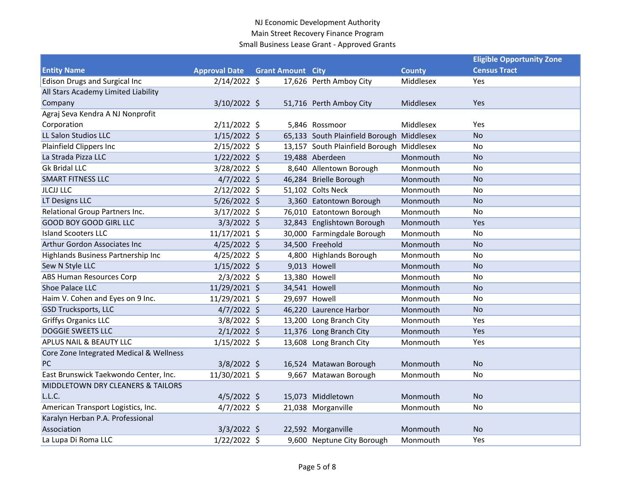|                                         |                      |                          |                                           |               | <b>Eligible Opportunity Zone</b> |  |
|-----------------------------------------|----------------------|--------------------------|-------------------------------------------|---------------|----------------------------------|--|
| <b>Entity Name</b>                      | <b>Approval Date</b> | <b>Grant Amount City</b> |                                           | <b>County</b> | <b>Census Tract</b>              |  |
| <b>Edison Drugs and Surgical Inc</b>    | $2/14/2022$ \$       |                          | 17,626 Perth Amboy City                   | Middlesex     | <b>Yes</b>                       |  |
| All Stars Academy Limited Liability     |                      |                          |                                           |               |                                  |  |
| Company                                 | $3/10/2022$ \$       |                          | 51,716 Perth Amboy City                   | Middlesex     | Yes                              |  |
| Agraj Seva Kendra A NJ Nonprofit        |                      |                          |                                           |               |                                  |  |
| Corporation                             | $2/11/2022$ \$       |                          | 5,846 Rossmoor                            | Middlesex     | Yes                              |  |
| LL Salon Studios LLC                    | $1/15/2022$ \$       |                          | 65,133 South Plainfield Borough Middlesex |               | <b>No</b>                        |  |
| Plainfield Clippers Inc                 | $2/15/2022$ \$       |                          | 13,157 South Plainfield Borough Middlesex |               | No                               |  |
| La Strada Pizza LLC                     | $1/22/2022$ \$       |                          | 19,488 Aberdeen                           | Monmouth      | <b>No</b>                        |  |
| <b>Gk Bridal LLC</b>                    | 3/28/2022 \$         |                          | 8,640 Allentown Borough                   | Monmouth      | No                               |  |
| <b>SMART FITNESS LLC</b>                | $4/7/2022$ \$        |                          | 46,284 Brielle Borough                    | Monmouth      | <b>No</b>                        |  |
| <b>JLCJJ LLC</b>                        | $2/12/2022$ \$       |                          | 51,102 Colts Neck                         | Monmouth      | No                               |  |
| LT Designs LLC                          | $5/26/2022$ \$       |                          | 3,360 Eatontown Borough                   | Monmouth      | <b>No</b>                        |  |
| Relational Group Partners Inc.          | $3/17/2022$ \$       |                          | 76,010 Eatontown Borough                  | Monmouth      | No                               |  |
| <b>GOOD BOY GOOD GIRL LLC</b>           | $3/3/2022$ \$        |                          | 32,843 Englishtown Borough                | Monmouth      | Yes                              |  |
| <b>Island Scooters LLC</b>              | 11/17/2021 \$        |                          | 30,000 Farmingdale Borough                | Monmouth      | No                               |  |
| Arthur Gordon Associates Inc            | $4/25/2022$ \$       |                          | 34,500 Freehold                           | Monmouth      | <b>No</b>                        |  |
| Highlands Business Partnership Inc      | $4/25/2022$ \$       |                          | 4,800 Highlands Borough                   | Monmouth      | No                               |  |
| Sew N Style LLC                         | $1/15/2022$ \$       |                          | 9,013 Howell                              | Monmouth      | <b>No</b>                        |  |
| <b>ABS Human Resources Corp</b>         | $2/3/2022$ \$        |                          | 13,380 Howell                             | Monmouth      | No                               |  |
| <b>Shoe Palace LLC</b>                  | 11/29/2021 \$        |                          | 34,541 Howell                             | Monmouth      | <b>No</b>                        |  |
| Haim V. Cohen and Eyes on 9 Inc.        | 11/29/2021 \$        |                          | 29,697 Howell                             | Monmouth      | No                               |  |
| <b>GSD Trucksports, LLC</b>             | $4/7/2022$ \$        |                          | 46,220 Laurence Harbor                    | Monmouth      | <b>No</b>                        |  |
| <b>Griffys Organics LLC</b>             | $3/8/2022$ \$        |                          | 13,200 Long Branch City                   | Monmouth      | Yes                              |  |
| <b>DOGGIE SWEETS LLC</b>                | $2/1/2022$ \$        |                          | 11,376 Long Branch City                   | Monmouth      | Yes                              |  |
| APLUS NAIL & BEAUTY LLC                 | $1/15/2022$ \$       |                          | 13,608 Long Branch City                   | Monmouth      | Yes                              |  |
| Core Zone Integrated Medical & Wellness |                      |                          |                                           |               |                                  |  |
| PC                                      | 3/8/2022 \$          |                          | 16,524 Matawan Borough                    | Monmouth      | <b>No</b>                        |  |
| East Brunswick Taekwondo Center, Inc.   | 11/30/2021 \$        |                          | 9,667 Matawan Borough                     | Monmouth      | No                               |  |
| MIDDLETOWN DRY CLEANERS & TAILORS       |                      |                          |                                           |               |                                  |  |
| L.L.C.                                  | $4/5/2022$ \$        |                          | 15,073 Middletown                         | Monmouth      | <b>No</b>                        |  |
| American Transport Logistics, Inc.      | $4/7/2022$ \$        |                          | 21,038 Morganville                        | Monmouth      | No                               |  |
| Karalyn Herban P.A. Professional        |                      |                          |                                           |               |                                  |  |
| Association                             | $3/3/2022$ \$        |                          | 22,592 Morganville                        | Monmouth      | <b>No</b>                        |  |
| La Lupa Di Roma LLC                     | $1/22/2022$ \$       |                          | 9,600 Neptune City Borough                | Monmouth      | Yes                              |  |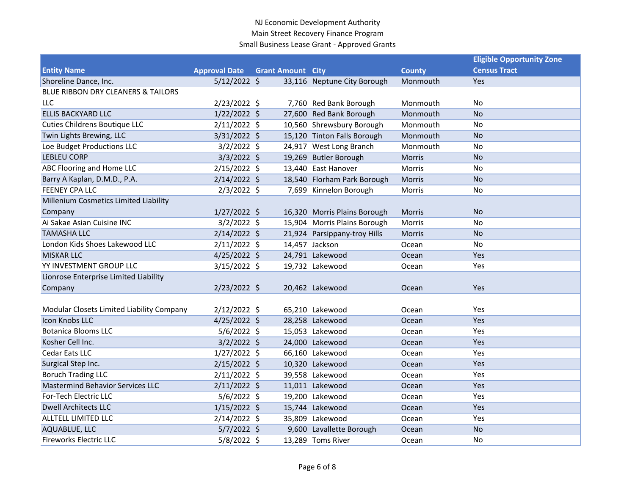|                                           |                      |                          |                              |               | <b>Eligible Opportunity Zone</b> |
|-------------------------------------------|----------------------|--------------------------|------------------------------|---------------|----------------------------------|
| <b>Entity Name</b>                        | <b>Approval Date</b> | <b>Grant Amount City</b> |                              | <b>County</b> | <b>Census Tract</b>              |
| Shoreline Dance, Inc.                     | $5/12/2022$ \$       |                          | 33,116 Neptune City Borough  | Monmouth      | Yes                              |
| BLUE RIBBON DRY CLEANERS & TAILORS        |                      |                          |                              |               |                                  |
| <b>LLC</b>                                | $2/23/2022$ \$       |                          | 7,760 Red Bank Borough       | Monmouth      | No                               |
| <b>ELLIS BACKYARD LLC</b>                 | $1/22/2022$ \$       |                          | 27,600 Red Bank Borough      | Monmouth      | <b>No</b>                        |
| <b>Cuties Childrens Boutique LLC</b>      | 2/11/2022 \$         |                          | 10,560 Shrewsbury Borough    | Monmouth      | No                               |
| Twin Lights Brewing, LLC                  | $3/31/2022$ \$       |                          | 15,120 Tinton Falls Borough  | Monmouth      | <b>No</b>                        |
| Loe Budget Productions LLC                | $3/2/2022$ \$        |                          | 24,917 West Long Branch      | Monmouth      | <b>No</b>                        |
| <b>LEBLEU CORP</b>                        | $3/3/2022$ \$        |                          | 19,269 Butler Borough        | <b>Morris</b> | <b>No</b>                        |
| ABC Flooring and Home LLC                 | $2/15/2022$ \$       |                          | 13,440 East Hanover          | Morris        | No                               |
| Barry A Kaplan, D.M.D., P.A.              | $2/14/2022$ \$       |                          | 18,540 Florham Park Borough  | Morris        | <b>No</b>                        |
| <b>FEENEY CPA LLC</b>                     | $2/3/2022$ \$        |                          | 7,699 Kinnelon Borough       | Morris        | No                               |
| Millenium Cosmetics Limited Liability     |                      |                          |                              |               |                                  |
| Company                                   | $1/27/2022$ \$       |                          | 16,320 Morris Plains Borough | Morris        | No                               |
| Ai Sakae Asian Cuisine INC                | $3/2/2022$ \$        |                          | 15,904 Morris Plains Borough | Morris        | No.                              |
| <b>TAMASHA LLC</b>                        | $2/14/2022$ \$       |                          | 21,924 Parsippany-troy Hills | Morris        | <b>No</b>                        |
| London Kids Shoes Lakewood LLC            | $2/11/2022$ \$       |                          | 14,457 Jackson               | Ocean         | No                               |
| <b>MISKAR LLC</b>                         | $4/25/2022$ \$       |                          | 24,791 Lakewood              | Ocean         | Yes                              |
| YY INVESTMENT GROUP LLC                   | $3/15/2022$ \$       |                          | 19,732 Lakewood              | Ocean         | Yes                              |
| Lionrose Enterprise Limited Liability     |                      |                          |                              |               |                                  |
| Company                                   | $2/23/2022$ \$       |                          | 20,462 Lakewood              | Ocean         | Yes                              |
|                                           |                      |                          |                              |               |                                  |
| Modular Closets Limited Liability Company | $2/12/2022$ \$       |                          | 65,210 Lakewood              | Ocean         | Yes                              |
| <b>Icon Knobs LLC</b>                     | $4/25/2022$ \$       |                          | 28,258 Lakewood              | Ocean         | Yes                              |
| <b>Botanica Blooms LLC</b>                | $5/6/2022$ \$        |                          | 15,053 Lakewood              | Ocean         | Yes                              |
| Kosher Cell Inc.                          | $3/2/2022$ \$        |                          | 24,000 Lakewood              | Ocean         | Yes                              |
| Cedar Eats LLC                            | $1/27/2022$ \$       |                          | 66,160 Lakewood              | Ocean         | Yes                              |
| Surgical Step Inc.                        | $2/15/2022$ \$       |                          | 10,320 Lakewood              | Ocean         | Yes                              |
| <b>Boruch Trading LLC</b>                 | $2/11/2022$ \$       |                          | 39,558 Lakewood              | Ocean         | Yes                              |
| <b>Mastermind Behavior Services LLC</b>   | $2/11/2022$ \$       |                          | 11,011 Lakewood              | Ocean         | Yes                              |
| For-Tech Electric LLC                     | $5/6/2022$ \$        |                          | 19,200 Lakewood              | Ocean         | Yes                              |
| <b>Dwell Architects LLC</b>               | $1/15/2022$ \$       |                          | 15,744 Lakewood              | Ocean         | Yes                              |
| ALLTELL LIMITED LLC                       | $2/14/2022$ \$       |                          | 35,809 Lakewood              | Ocean         | Yes                              |
| AQUABLUE, LLC                             | $5/7/2022$ \$        |                          | 9,600 Lavallette Borough     | Ocean         | <b>No</b>                        |
| <b>Fireworks Electric LLC</b>             | $5/8/2022$ \$        |                          | 13,289 Toms River            | Ocean         | No                               |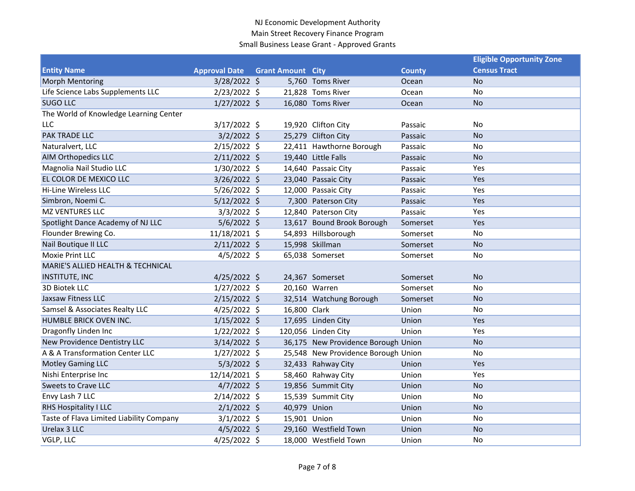|                                          |                      |                          |                                     |               | <b>Eligible Opportunity Zone</b> |  |
|------------------------------------------|----------------------|--------------------------|-------------------------------------|---------------|----------------------------------|--|
| <b>Entity Name</b>                       | <b>Approval Date</b> | <b>Grant Amount City</b> |                                     | <b>County</b> | <b>Census Tract</b>              |  |
| <b>Morph Mentoring</b>                   | $3/28/2022$ \$       |                          | 5,760 Toms River                    | Ocean         | <b>No</b>                        |  |
| Life Science Labs Supplements LLC        | $2/23/2022$ \$       |                          | 21,828 Toms River                   | Ocean         | No                               |  |
| <b>SUGO LLC</b>                          | $1/27/2022$ \$       |                          | 16,080 Toms River                   | Ocean         | <b>No</b>                        |  |
| The World of Knowledge Learning Center   |                      |                          |                                     |               |                                  |  |
| <b>LLC</b>                               | $3/17/2022$ \$       |                          | 19,920 Clifton City                 | Passaic       | No                               |  |
| PAK TRADE LLC                            | $3/2/2022$ \$        |                          | 25,279 Clifton City                 | Passaic       | <b>No</b>                        |  |
| Naturalvert, LLC                         | 2/15/2022 \$         |                          | 22,411 Hawthorne Borough            | Passaic       | No                               |  |
| <b>AIM Orthopedics LLC</b>               | $2/11/2022$ \$       |                          | 19,440 Little Falls                 | Passaic       | <b>No</b>                        |  |
| Magnolia Nail Studio LLC                 | 1/30/2022 \$         |                          | 14,640 Passaic City                 | Passaic       | Yes                              |  |
| EL COLOR DE MEXICO LLC                   | 3/26/2022 \$         |                          | 23,040 Passaic City                 | Passaic       | Yes                              |  |
| <b>Hi-Line Wireless LLC</b>              | $5/26/2022$ \$       |                          | 12,000 Passaic City                 | Passaic       | Yes                              |  |
| Simbron, Noemi C.                        | $5/12/2022$ \$       |                          | 7,300 Paterson City                 | Passaic       | Yes                              |  |
| <b>MZ VENTURES LLC</b>                   | $3/3/2022$ \$        |                          | 12,840 Paterson City                | Passaic       | Yes                              |  |
| Spotlight Dance Academy of NJ LLC        | $5/6/2022$ \$        |                          | 13,617 Bound Brook Borough          | Somerset      | Yes                              |  |
| Flounder Brewing Co.                     | 11/18/2021 \$        |                          | 54,893 Hillsborough                 | Somerset      | No                               |  |
| Nail Boutique II LLC                     | $2/11/2022$ \$       |                          | 15,998 Skillman                     | Somerset      | <b>No</b>                        |  |
| Moxie Print LLC                          | $4/5/2022$ \$        |                          | 65,038 Somerset                     | Somerset      | No                               |  |
| MARIE'S ALLIED HEALTH & TECHNICAL        |                      |                          |                                     |               |                                  |  |
| <b>INSTITUTE, INC</b>                    | $4/25/2022$ \$       |                          | 24,367 Somerset                     | Somerset      | <b>No</b>                        |  |
| 3D Biotek LLC                            | $1/27/2022$ \$       |                          | 20,160 Warren                       | Somerset      | No                               |  |
| <b>Jaxsaw Fitness LLC</b>                | $2/15/2022$ \$       |                          | 32,514 Watchung Borough             | Somerset      | <b>No</b>                        |  |
| Samsel & Associates Realty LLC           | $4/25/2022$ \$       | 16,800 Clark             |                                     | Union         | No                               |  |
| HUMBLE BRICK OVEN INC.                   | $1/15/2022$ \$       |                          | 17,695 Linden City                  | Union         | Yes                              |  |
| Dragonfly Linden Inc                     | $1/22/2022$ \$       |                          | 120,056 Linden City                 | Union         | Yes                              |  |
| New Providence Dentistry LLC             | $3/14/2022$ \$       |                          | 36,175 New Providence Borough Union |               | <b>No</b>                        |  |
| A & A Transformation Center LLC          | $1/27/2022$ \$       |                          | 25,548 New Providence Borough Union |               | No                               |  |
| <b>Motley Gaming LLC</b>                 | $5/3/2022$ \$        |                          | 32,433 Rahway City                  | Union         | Yes                              |  |
| Nishi Enterprise Inc                     | 12/14/2021 \$        |                          | 58,460 Rahway City                  | Union         | Yes                              |  |
| <b>Sweets to Crave LLC</b>               | $4/7/2022$ \$        |                          | 19,856 Summit City                  | Union         | <b>No</b>                        |  |
| Envy Lash 7 LLC                          | $2/14/2022$ \$       |                          | 15,539 Summit City                  | Union         | No                               |  |
| RHS Hospitality I LLC                    | $2/1/2022$ \$        | 40,979 Union             |                                     | Union         | <b>No</b>                        |  |
| Taste of Flava Limited Liability Company | $3/1/2022$ \$        | 15,901 Union             |                                     | Union         | No                               |  |
| Urelax 3 LLC                             | $4/5/2022$ \$        |                          | 29,160 Westfield Town               | Union         | <b>No</b>                        |  |
| VGLP, LLC                                | $4/25/2022$ \$       |                          | 18,000 Westfield Town               | Union         | No                               |  |